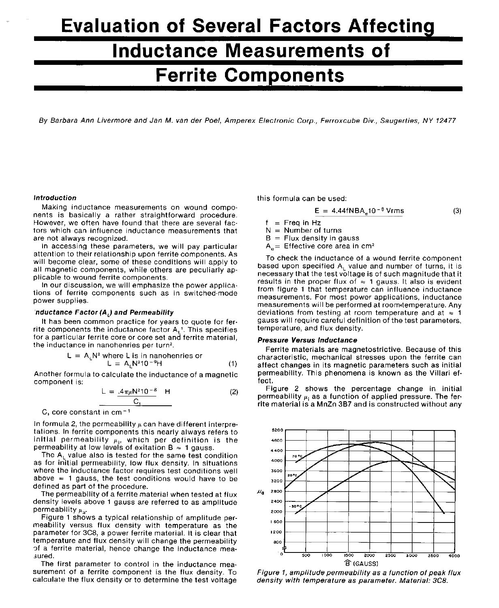# **Evaluation of Several Factors Affectin Inductance Measurements of Ferrite Components**

By Barbara Ann Livermore and Jan M. van der Poel, Amperex Electronic Corp., Ferroxcube Div., Saugerties, NY 12477

Making inductance measurements on wound components is basically <sup>a</sup> rather straightforward procedure. However, we often have found that there are several factors which can influence inductance measurements that are not always recognized.

In accessing these parameters, we will pay particular attention to their relationship upon ferrite components. As will become clear, some of these conditions will apply to all magnetic components, while others are peculiarly applicable to wound ferrite components.

In our discussion, we will emphasize the power applications of ferrite components such as in switched-mode power supplies.

## *nductance Factor (AJ and Permeability*

It has been common practice for years to quote for ferrite components the inductance factor  $A_1$ <sup>T</sup>. This specifies for <sup>a</sup> particular ferrite core or core set and ferrite material, the inductance in nanohenries per turn<sup>2</sup> .

$$
L = ALN2 where L is in nanohenries or
$$
  

$$
L = ALN210-9H
$$
 (1)

Another formula to calculate the inductance of <sup>a</sup> magnetic component is:

$$
L = \frac{.4\pi\mu N^2 10^{-8}}{C_1} \quad H \tag{2}
$$

 $C_1$  core constant in cm<sup>-1</sup>

In formula 2, the permeability  $\mu$  can have different interpretations. In ferrite components this nearly always refers to initial permeability  $\mu_i$ , which per definition is the permeability at low levels of exitation B  $\approx$  1 gauss.

The  $A<sub>1</sub>$  value also is tested for the same test condition as for initial permeability, low flux density. In situations where the inductance factor requires test conditions well above  $\approx$  1 gauss, the test conditions would have to be defined as part of the procedure.

The permeability of <sup>a</sup> ferrite material when tested at flux density levels above <sup>1</sup> gauss are referred to as amplitude permeability  $\mu_{\sf a}$ .

Figure 1 shows a typical relationship of amplitude permeability versus flux density with temperature as the parameter for 3C8, <sup>a</sup> power ferrite material. It is clear that temperature and flux density will change the permeability of <sup>a</sup> ferrite material, hence change the inductance measured.

The first parameter to control in the inductance measurement of <sup>a</sup> ferrite component is the flux density. To calculate the flux density or to determine the test voltage

*Introduction* this formula can be used:

$$
E = 4.44fNBAe10-8 Vrms
$$
 (3)

$$
f = \text{Freq in Hz}
$$

N <sup>=</sup> Number of turns

 $B =$  Flux density in gauss

 $A_e$ = Effective core area in cm<sup>2</sup>

To check the inductance of <sup>a</sup> wound ferrite component based upon specified  $A_L$  value and number of turns, it is necessary that the test voltage is of such magnitude that it results in the proper flux of  $\approx$  1 gauss. It also is evident from figure <sup>1</sup> that temperature can influence inductance measurements. For most power applications, inductance measurements will be performed at room\*temperature. Any deviations from testing at room temperature and at  $\approx$  1 gauss will require careful definition of the test parameters, temperature, and flux density.

#### *Pressure Versus inductance*

Ferrite materials are magnetostrictive. Because of this characteristic, mechanical stresses upon the ferrite can affect changes in its magnetic parameters such as initial permeability. This phenomena is known as the Villari effect.

Figure 2 shows the percentage change in initial permeability  $\mu_i$  as a function of applied pressure. The ferrite material is <sup>a</sup> MnZn 3B7 and is constructed without any



*Figure <sup>1</sup>, amplitude permeability as <sup>a</sup> function of peak flux density with temperature as parameter. Material: 3C8.*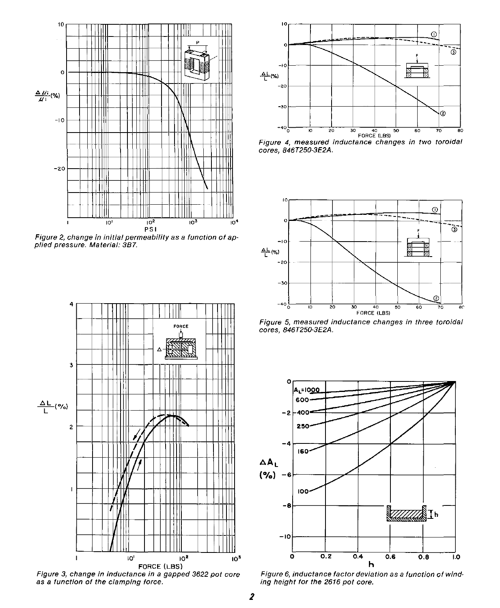

*Figure 2, change in initial permeability as <sup>a</sup> function of ap plied pressure. Material: 3B7.*



*Figure 3, change in inductance in <sup>a</sup> gapped 3622 pot core as <sup>a</sup> function of the clamping force.*



*Figure <sup>4</sup>, measured inductance changes in two toroidai cores*, *846T250-3E2A.*



*Figure 5, measured inductance changes in three toroidal cores*, *846T250-3E2A.*



*Figure 6, inductance factor deviation as <sup>a</sup> function of winding height for the 2616 pot core.*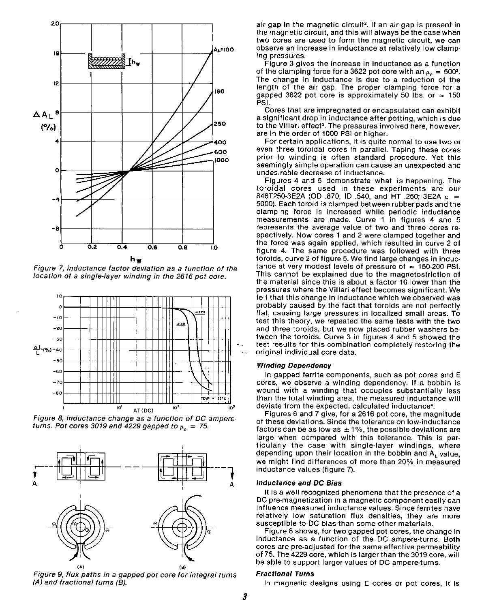

*Figure* 7, *inductance factor deviation as <sup>a</sup> function of the location of <sup>a</sup> single-layer winding in the <sup>2616</sup> pot core*.



*Figure <sup>8</sup>, inductance change as <sup>a</sup> function of DC ampereturns. Pot cores 3019 and 4229 gapped to*  $\mu_e$  = 75.



*Figure 9, flux paths in <sup>a</sup> gapped pot core for integral turns (A) and fractional turns (B).*

air gap in the magnetic circuit<sup>2</sup>. If an air gap is present in the magnetic circuit, and this will always be the case when two cores are used to form the magnetic circuit, we can observe an increase in inductance at relatively low clamping pressures.

Figure 3 gives the increase in inductance as <sup>a</sup> function of the clamping force for a 3622 pot core with an  $\mu_a = 500^2$ . The change in inductance is due to <sup>a</sup> reduction of the length of the air gap. The proper clamping force for <sup>a</sup> gapped 3622 pot core is approximately 50 lbs. or  $\approx$  150 PSI.

Cores that are impregnated or encapsulated can exhibit <sup>a</sup> significant drop in inductance after potting, which is due to the Villari effect<sup>s</sup>. The pressures involved here, however, are in the order of 1000 PSI or higher.

For certain applications, it is quite normal to use two or even three toroidal cores in parallel. Taping these cores prior to winding is often standard procedure. Yet this seemingly simple operation can cause an unexpected and undesirable decrease of inductance.

Figures <sup>4</sup> and <sup>5</sup> demonstrate what is happening. The toroidal cores used in these experiments are our 846T250-3E2A (OD .870, ID .540, and HT .250; 3E2A  $\mu_{\parallel} =$  5000). Each toroid is clamped between rubber pads and the clamping force is increased while periodic inductance measurements are made. Curve <sup>1</sup> in figures <sup>4</sup> and 5 represents the average value of two and three cores respectively. Now cores 1 and 2 were clamped together and the force was again applied, which resulted in curve 2 of figure 4. The same procedure was followed with three toroids, curve 2 of figure 5. We find large changes in inductance at very modest levels of pressure of  $\approx$  150-200 PSI. This cannot be explained due to the magnetostriction of the material since this is about <sup>a</sup> factor 10 lower than the pressures where the Villari effect becomes significant. We felt that this change in inductance which we observed was probably caused by the fact that toroids are not perfectly flat, causing large pressures in localized small areas. To test this theory, we repeated the same tests with the two and three toroids, but we now placed rubber washers between the toroids. Curve 3 in figures 4 and 5 showed the test results for this combination completely restoring the original individual core data.

#### <sup>50</sup> *Winding Dependency*

In gapped ferrite components, such as pot cores and E cores, we observe <sup>a</sup> winding dependency. If <sup>a</sup> bobbin is wound with <sup>a</sup> winding that occupies substantially less than the total winding area, the measured inductance will deviate from the expected, calculated inductance<sup>4</sup> .

Figures 6 and <sup>7</sup> give, for <sup>a</sup> 2616 pot core, the magnitude of these deviations. Since the tolerance on low-inductance factors can be as low as  $\pm 1\%$ , the possible deviations are large when compared with this tolerance. This is particularly the case with single-layer windings, where depending upon their location in the bobbin and  $A_1$  value, we might find differences of more than 20% in measured inductance values (figure 7).

#### *Inductance and DC Bias*

It is <sup>a</sup> well recognized phenomena that the presence of <sup>a</sup> DC pre-magnetization in <sup>a</sup> magnetic component easily can influence measured inductance values. Since ferrites have relatively low saturation flux densities, they are more susceptible to DC bias than some other materials.

Figure 8 shows, for two gapped pot cores, the change in inductance as <sup>a</sup> function of the DC ampere-turns. Both cores are pre-adjusted for the same effective permeability of 75. The 4229 core, which is larger than the 3019 core, will be able to support larger values of DC ampere-turns.

### *Fractional Turns*

In magnetic designs using E cores or pot cores, it is